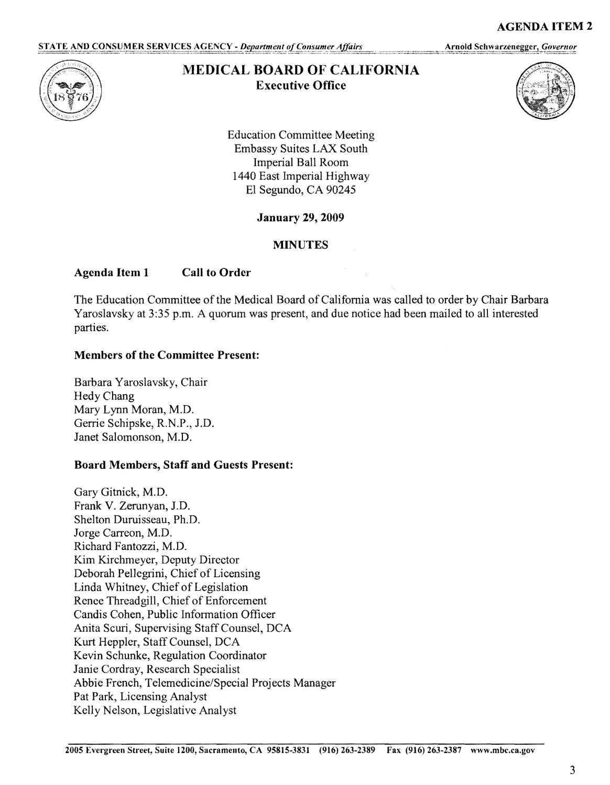STATE AND CONSUMER SERVICES AGENCY - Department of Consumer Affairs

Arnold Schwarzenegger, Governor



# **MEDICAL BOARD OF CALIFORNIA Executive Office**



**AGENDA ITEM 2** 

Education Committee Meeting Embassy Suites LAX South Imperial Ball Room 1440 East Imperial Highway El Segundo, CA 90245

**January 29, 2009** 

## **MINUTES**

## **Agenda Item 1 Call to Order**

The Education Committee of the Medical Board of California was called to order by Chair Barbara Yaroslavsky at 3:35 p.m. A quorum was present, and due notice had been mailed to all interested parties.

#### **Members of the Committee Present:**

Barbara Yaroslavsky, Chair Hedy Chang Mary Lynn Moran, M.D. Gerrie Schipske, R.N.P., J.D. Janet Salomonson, M.D.

## **Board Members, Staff and Guests Present:**

Gary Gitnick, M.D. Frank V. Zerunyan, J.D. Shelton Duruisseau, Ph.D. Jorge Carreon, M.D. Richard Fantozzi, M.D. Kim Kirchmeyer, Deputy Director Deborah Pellegrini, Chief of Licensing Linda Whitney, Chief of Legislation Renee Threadgill, Chief of Enforcement Candis Cohen, Public Information Officer Anita Scuri, Supervising Staff Counsel, DCA Kurt Heppler, Staff Counsel, DCA Kevin Schunke, Regulation Coordinator Janie Cordray, Research Specialist Abbie French, Telemedicine/Special Projects Manager Pat Park, Licensing Analyst Kelly Nelson, Legislative Analyst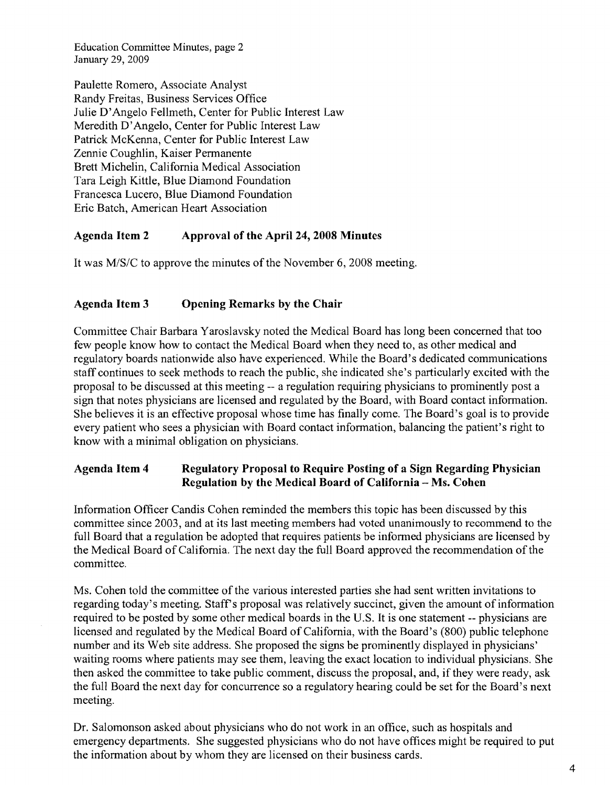Education Committee Minutes, page 2 January 29, 2009

Paulette Romero, Associate Analyst Randy Freitas, Business Services Office Julie D'Angelo Fellmeth, Center for Public Interest Law Meredith D'Angelo, Center for Public Interest Law Patrick McKenna, Center for Public Interest Law Zennie Coughlin, Kaiser Permanente Brett Michelin, California Medical Association Tara Leigh Kittle, Blue Diamond Foundation Francesca Lucero, Blue Diamond Foundation Eric Batch, American Heart Association

#### **Agenda Item 2 Approval of the April 24, 2008 Minutes**

It was M/S/C to approve the minutes of the November 6, 2008 meeting.

## **Agenda Item 3 Opening Remarks by the Chair**

Committee Chair Barbara Y aroslavsky noted the Medical Board has long been concerned that too few people know how to contact the Medical Board when they need to, as other medical and regulatory boards nationwide also have experienced. While the Board's dedicated communications staff continues to seek methods to reach the public, she indicated she's particularly excited with the proposal to be discussed at this meeting -- a regulation requiring physicians to prominently post a sign that notes physicians are licensed and regulated by the Board, with Board contact information. She believes it is an effective proposal whose time has finally come. The Board's goal is to provide every patient who sees a physician with Board contact information, balancing the patient's right to know with a minimal obligation on physicians.

#### **Agenda Item 4 Regulatory Proposal to Require Posting of a Sign Regarding Physician Regulation by the Medical Board of California - Ms. Cohen**

Information Officer Candis Cohen reminded the members this topic has been discussed by this committee since 2003, and at its last meeting members had voted unanimously to recommend to the full Board that a regulation be adopted that requires patients he informed physicians are licensed by the Medical Board of California. The next day the full Board approved the recommendation of the committee.

Ms. Cohen told the committee of the various interested parties she had sent written invitations to regarding today's meeting. Staff's proposal was relatively succinct, given the amount of information required to be posted by some other medical boards in the U.S. It is one statement -- physicians are licensed and regulated by the Medical Board of California, with the Board's (800) public telephone number and its Web site address. She proposed the signs be prominently displayed in physicians' waiting rooms where patients may see them, leaving the exact location to individual physicians. She then asked the committee to take public comment, discuss the proposal, and, if they were ready, ask the full Board the next day for concurrence so a regulatory hearing could he set for the Board's next meeting.

Dr. Salomonson asked about physicians who do not work in an office, such as hospitals and emergency departments. She suggested physicians who do not have offices might he required to put the information about by whom they are licensed on their business cards.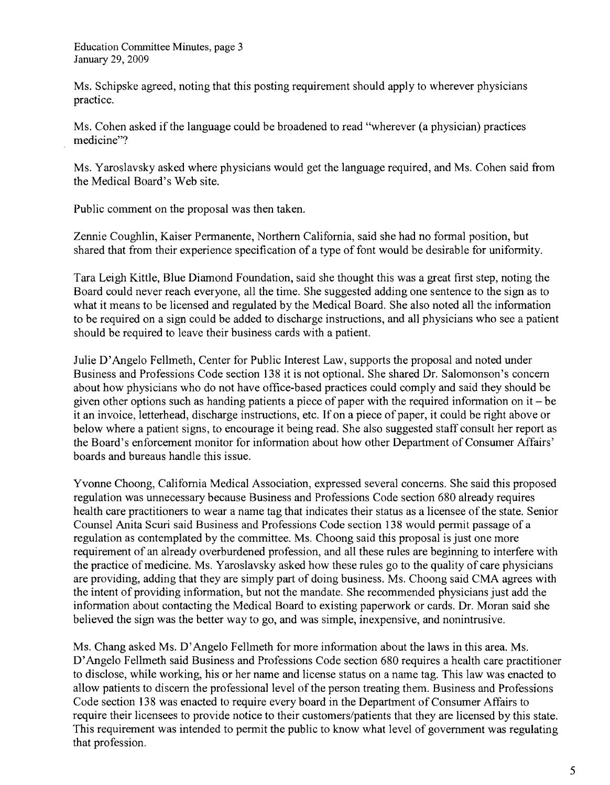Ms. Schipske agreed, noting that this posting requirement should apply to wherever physicians practice.

Ms. Cohen asked if the language could be broadened to read "wherever (a physician) practices medicine"?

Ms. Y aroslavsky asked where physicians would get the language required, and Ms. Cohen said from the Medical Board's Web site.

Public comment on the proposal was then taken.

Zennie Coughlin, Kaiser Permanente, Northern California, said she had no formal position, but shared that from their experience specification of a type of font would be desirable for uniformity.

Tara Leigh Kittle, Blue Diamond Foundation, said she thought this was a great first step, noting the Board could never reach everyone, all the time. She suggested adding one sentence to the sign as to what it means to be licensed and regulated by the Medical Board. She also noted all the information to be required on a sign could be added to discharge instructions, and all physicians who see a patient should be required to leave their business cards with a patient.

Julie D'Angelo Fellmeth, Center for Public Interest Law, supports the proposal and noted under Business and Professions Code section 138 it is not optional. She shared Dr. Salomonson's concern about how physicians who do not have office-based practices could comply and said they should be given other options such as handing patients a piece of paper with the required information on it - be it an invoice, letterhead, discharge instructions, etc. If on a piece of paper, it could be right above or below where a patient signs, to encourage it being read. She also suggested staff consult her report as the Board's enforcement monitor for information about how other Department of Consumer Affairs' boards and bureaus handle this issue.

Yvonne Choong, California Medical Association, expressed several concerns. She said this proposed regulation was unnecessary because Business and Professions Code section 680 already requires health care practitioners to wear a name tag that indicates their status as a licensee of the state. Senior Counsel Anita Scuri said Business and Professions Code section 138 would permit passage of a regulation as contemplated by the committee. Ms. Choong said this proposal is just one more requirement of an already overburdened profession, and all these rules are beginning to interfere with the practice of medicine. Ms. Yaroslavsky asked how these rules go to the quality of care physicians are providing, adding that they are simply part of doing business. Ms. Choong said CMA agrees with the intent of providing information, but not the mandate. She recommended physicians just add the information about contacting the Medical Board to existing paperwork or cards. Dr. Moran said she believed the sign was the better way to go, and was simple, inexpensive, and nonintrusive.

Ms. Chang asked Ms. D'Angelo Fellmeth for more information about the laws in this area. Ms. D'Angelo Fellmeth said Business and Professions Code section 680 requires a health care practitioner to disclose, while working, his or her name and license status on a name tag. This law was enacted to allow patients to discern the professional level of the person treating them. Business and Professions Code section 138 was enacted to require every board in the Department of Consumer Affairs to require their licensees to provide notice to their customers/patients that they are licensed by this state. This requirement was intended to permit the public to know what level of government was regulating that profession.